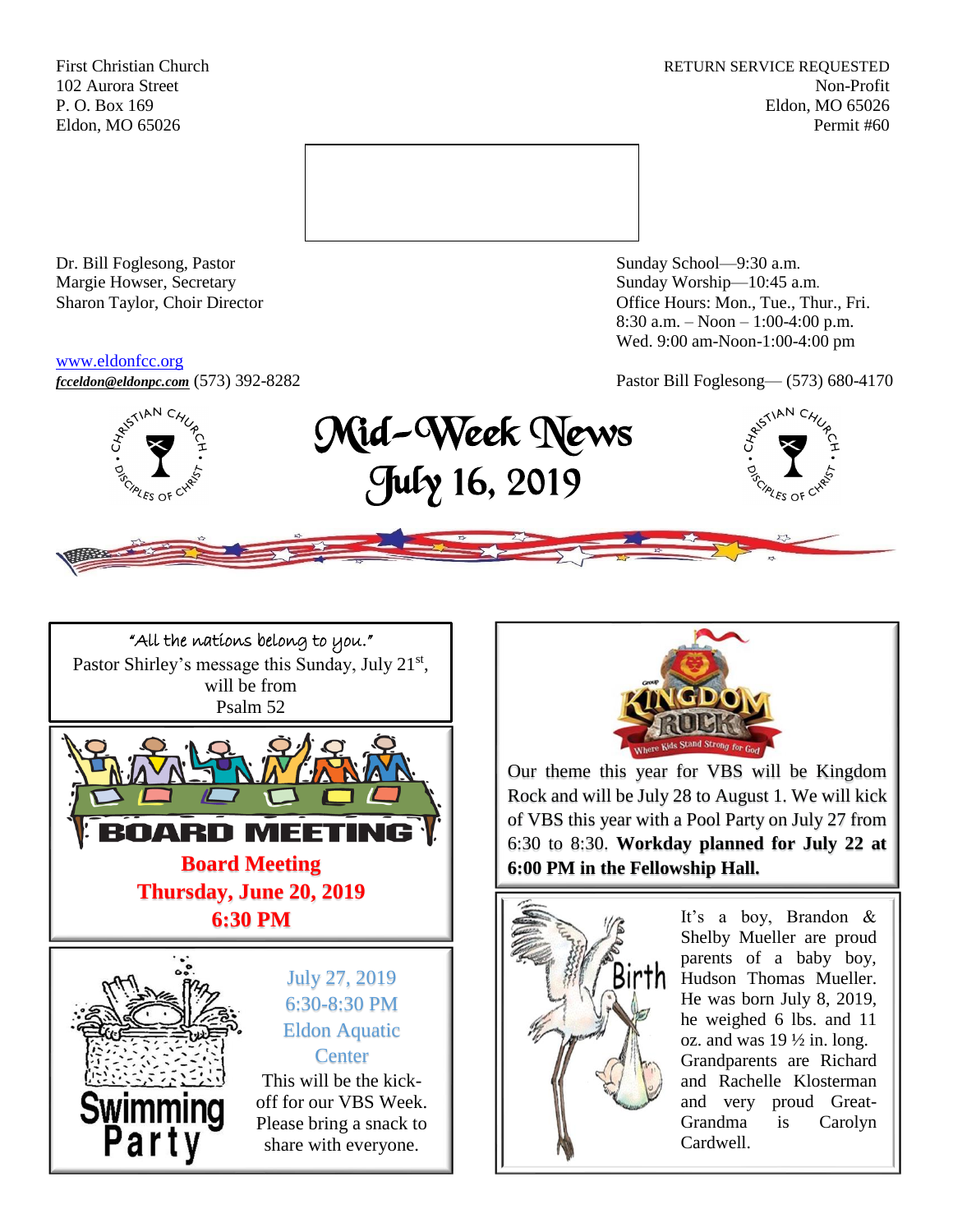First Christian Church **RETURN SERVICE REQUESTED** 102 Aurora Street Non-Profit P. O. Box 169 Eldon, MO 65026 Eldon, MO 65026 Permit #60



Dr. Bill Foglesong, Pastor Sunday School—9:30 a.m. Margie Howser, Secretary Sunday Worship—10:45 a.m.

#### [www.eldonfcc.org](http://www.eldonfcc.org/)

Sharon Taylor, Choir Director **Calcular Control** Control Control Control Control Control Control Control Control Control Control Control Control Control Control Control Control Control Control Control Control Control Contr 8:30 a.m. – Noon – 1:00-4:00 p.m. Wed. 9:00 am-Noon-1:00-4:00 pm



*[fcceldon@eldonpc.com](mailto:fcceldon@eldonpc.com)* (573) 392-8282 Pastor Bill Foglesong— (573) 680-4170<br>  $\delta^{5^{5/14N}C_{4}}C_2$  **Mid-Wook Money** Mid-Week News July 16, 2019







Our theme this year for VBS will be Kingdom Rock and will be July 28 to August 1. We will kick of VBS this year with a Pool Party on July 27 from 6:30 to 8:30. **Workday planned for July 22 at 6:00 PM in the Fellowship Hall.**



It's a boy, Brandon & Shelby Mueller are proud parents of a baby boy, Hudson Thomas Mueller. He was born July 8, 2019, he weighed 6 lbs. and 11 oz. and was  $19\frac{1}{2}$  in. long. Grandparents are Richard and Rachelle Klosterman and very proud Great-Grandma is Carolyn Cardwell.